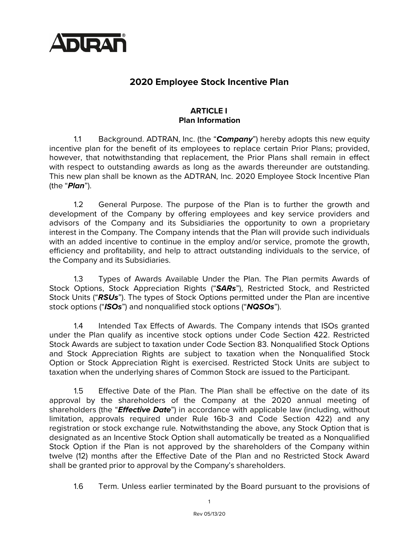

# **2020 Employee Stock Incentive Plan**

### **ARTICLE I Plan Information**

1.1 Background. ADTRAN, Inc. (the "*Company*") hereby adopts this new equity incentive plan for the benefit of its employees to replace certain Prior Plans; provided, however, that notwithstanding that replacement, the Prior Plans shall remain in effect with respect to outstanding awards as long as the awards thereunder are outstanding. This new plan shall be known as the ADTRAN, Inc. 2020 Employee Stock Incentive Plan (the "*Plan*").

1.2 General Purpose. The purpose of the Plan is to further the growth and development of the Company by offering employees and key service providers and advisors of the Company and its Subsidiaries the opportunity to own a proprietary interest in the Company. The Company intends that the Plan will provide such individuals with an added incentive to continue in the employ and/or service, promote the growth, efficiency and profitability, and help to attract outstanding individuals to the service, of the Company and its Subsidiaries.

1.3 Types of Awards Available Under the Plan. The Plan permits Awards of Stock Options, Stock Appreciation Rights ("*SARs*"), Restricted Stock, and Restricted Stock Units ("*RSUs*"). The types of Stock Options permitted under the Plan are incentive stock options ("*ISOs*") and nonqualified stock options ("*NQSOs*").

1.4 Intended Tax Effects of Awards. The Company intends that ISOs granted under the Plan qualify as incentive stock options under Code Section 422. Restricted Stock Awards are subject to taxation under Code Section 83. Nonqualified Stock Options and Stock Appreciation Rights are subject to taxation when the Nonqualified Stock Option or Stock Appreciation Right is exercised. Restricted Stock Units are subject to taxation when the underlying shares of Common Stock are issued to the Participant.

1.5 Effective Date of the Plan. The Plan shall be effective on the date of its approval by the shareholders of the Company at the 2020 annual meeting of shareholders (the "*Effective Date*") in accordance with applicable law (including, without limitation, approvals required under Rule 16b-3 and Code Section 422) and any registration or stock exchange rule. Notwithstanding the above, any Stock Option that is designated as an Incentive Stock Option shall automatically be treated as a Nonqualified Stock Option if the Plan is not approved by the shareholders of the Company within twelve (12) months after the Effective Date of the Plan and no Restricted Stock Award shall be granted prior to approval by the Company's shareholders.

1.6 Term. Unless earlier terminated by the Board pursuant to the provisions of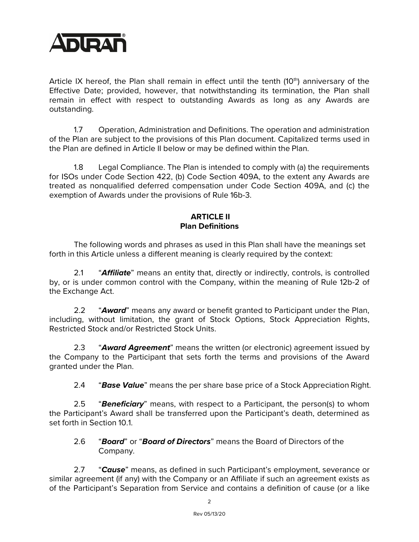

Article IX hereof, the Plan shall remain in effect until the tenth  $(10<sup>th</sup>)$  anniversary of the Effective Date; provided, however, that notwithstanding its termination, the Plan shall remain in effect with respect to outstanding Awards as long as any Awards are outstanding.

1.7 Operation, Administration and Definitions. The operation and administration of the Plan are subject to the provisions of this Plan document. Capitalized terms used in the Plan are defined in Article II below or may be defined within the Plan.

1.8 Legal Compliance. The Plan is intended to comply with (a) the requirements for ISOs under Code Section 422, (b) Code Section 409A, to the extent any Awards are treated as nonqualified deferred compensation under Code Section 409A, and (c) the exemption of Awards under the provisions of Rule 16b-3.

### **ARTICLE II Plan Definitions**

The following words and phrases as used in this Plan shall have the meanings set forth in this Article unless a different meaning is clearly required by the context:

2.1 "*Affiliate*" means an entity that, directly or indirectly, controls, is controlled by, or is under common control with the Company, within the meaning of Rule 12b-2 of the Exchange Act.

2.2 "*Award*" means any award or benefit granted to Participant under the Plan, including, without limitation, the grant of Stock Options, Stock Appreciation Rights, Restricted Stock and/or Restricted Stock Units.

2.3 "*Award Agreement*" means the written (or electronic) agreement issued by the Company to the Participant that sets forth the terms and provisions of the Award granted under the Plan.

2.4 "*Base Value*" means the per share base price of a Stock Appreciation Right.

2.5 "*Beneficiary*" means, with respect to a Participant, the person(s) to whom the Participant's Award shall be transferred upon the Participant's death, determined as set forth in Section 10.1.

2.6 "*Board*" or "*Board of Directors*" means the Board of Directors of the Company.

2.7 "*Cause*" means, as defined in such Participant's employment, severance or similar agreement (if any) with the Company or an Affiliate if such an agreement exists as of the Participant's Separation from Service and contains a definition of cause (or a like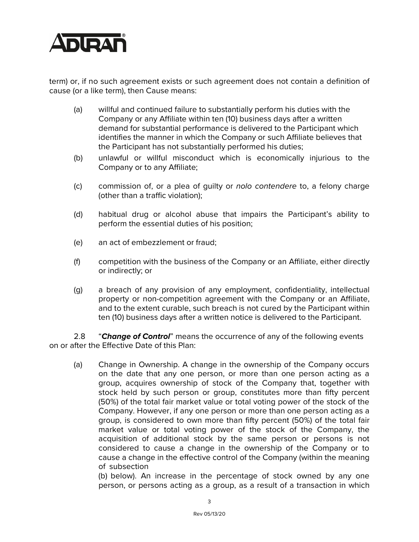

term) or, if no such agreement exists or such agreement does not contain a definition of cause (or a like term), then Cause means:

- (a) willful and continued failure to substantially perform his duties with the Company or any Affiliate within ten (10) business days after a written demand for substantial performance is delivered to the Participant which identifies the manner in which the Company or such Affiliate believes that the Participant has not substantially performed his duties;
- (b) unlawful or willful misconduct which is economically injurious to the Company or to any Affiliate;
- (c) commission of, or a plea of guilty or *nolo contendere* to, a felony charge (other than a traffic violation);
- (d) habitual drug or alcohol abuse that impairs the Participant's ability to perform the essential duties of his position;
- (e) an act of embezzlement or fraud;
- (f) competition with the business of the Company or an Affiliate, either directly or indirectly; or
- (g) a breach of any provision of any employment, confidentiality, intellectual property or non-competition agreement with the Company or an Affiliate, and to the extent curable, such breach is not cured by the Participant within ten (10) business days after a written notice is delivered to the Participant.

2.8 "*Change of Control*" means the occurrence of any of the following events on or after the Effective Date of this Plan:

(a) Change in Ownership. A change in the ownership of the Company occurs on the date that any one person, or more than one person acting as a group, acquires ownership of stock of the Company that, together with stock held by such person or group, constitutes more than fifty percent (50%) of the total fair market value or total voting power of the stock of the Company. However, if any one person or more than one person acting as a group, is considered to own more than fifty percent (50%) of the total fair market value or total voting power of the stock of the Company, the acquisition of additional stock by the same person or persons is not considered to cause a change in the ownership of the Company or to cause a change in the effective control of the Company (within the meaning of subsection

(b) below). An increase in the percentage of stock owned by any one person, or persons acting as a group, as a result of a transaction in which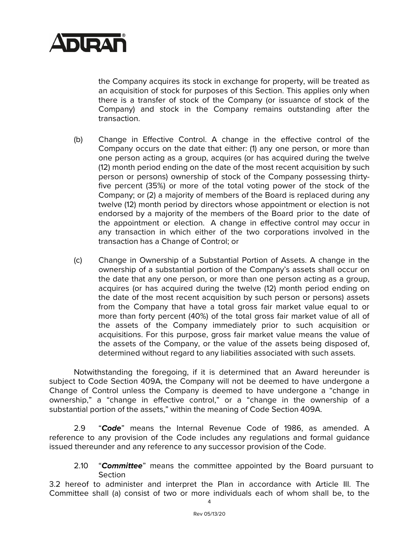

the Company acquires its stock in exchange for property, will be treated as an acquisition of stock for purposes of this Section. This applies only when there is a transfer of stock of the Company (or issuance of stock of the Company) and stock in the Company remains outstanding after the transaction.

- (b) Change in Effective Control. A change in the effective control of the Company occurs on the date that either: (1) any one person, or more than one person acting as a group, acquires (or has acquired during the twelve (12) month period ending on the date of the most recent acquisition by such person or persons) ownership of stock of the Company possessing thirtyfive percent (35%) or more of the total voting power of the stock of the Company; or (2) a majority of members of the Board is replaced during any twelve (12) month period by directors whose appointment or election is not endorsed by a majority of the members of the Board prior to the date of the appointment or election. A change in effective control may occur in any transaction in which either of the two corporations involved in the transaction has a Change of Control; or
- (c) Change in Ownership of a Substantial Portion of Assets. A change in the ownership of a substantial portion of the Company's assets shall occur on the date that any one person, or more than one person acting as a group, acquires (or has acquired during the twelve (12) month period ending on the date of the most recent acquisition by such person or persons) assets from the Company that have a total gross fair market value equal to or more than forty percent (40%) of the total gross fair market value of all of the assets of the Company immediately prior to such acquisition or acquisitions. For this purpose, gross fair market value means the value of the assets of the Company, or the value of the assets being disposed of, determined without regard to any liabilities associated with such assets.

Notwithstanding the foregoing, if it is determined that an Award hereunder is subject to Code Section 409A, the Company will not be deemed to have undergone a Change of Control unless the Company is deemed to have undergone a "change in ownership," a "change in effective control," or a "change in the ownership of a substantial portion of the assets," within the meaning of Code Section 409A.

2.9 "*Code*" means the Internal Revenue Code of 1986, as amended. A reference to any provision of the Code includes any regulations and formal guidance issued thereunder and any reference to any successor provision of the Code.

2.10 "*Committee*" means the committee appointed by the Board pursuant to Section

3.2 hereof to administer and interpret the Plan in accordance with Article III. The Committee shall (a) consist of two or more individuals each of whom shall be, to the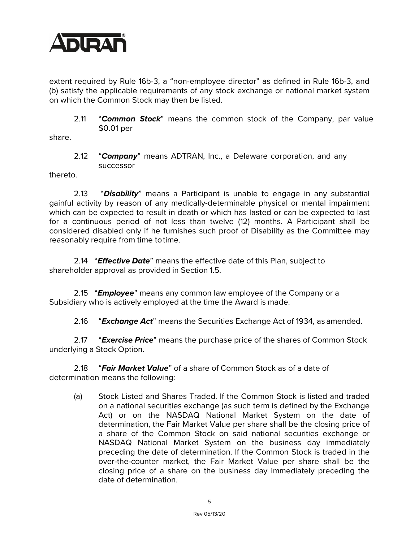

extent required by Rule 16b-3, a "non-employee director" as defined in Rule 16b-3, and (b) satisfy the applicable requirements of any stock exchange or national market system on which the Common Stock may then be listed.

2.11 "*Common Stock*" means the common stock of the Company, par value \$0.01 per

share.

2.12 "*Company*" means ADTRAN, Inc., a Delaware corporation, and any successor

thereto.

2.13 "*Disability*" means a Participant is unable to engage in any substantial gainful activity by reason of any medically-determinable physical or mental impairment which can be expected to result in death or which has lasted or can be expected to last for a continuous period of not less than twelve (12) months. A Participant shall be considered disabled only if he furnishes such proof of Disability as the Committee may reasonably require from time totime.

2.14 "*Effective Date*" means the effective date of this Plan, subject to shareholder approval as provided in Section 1.5.

2.15 "*Employee*" means any common law employee of the Company or a Subsidiary who is actively employed at the time the Award is made.

2.16 "*Exchange Act*" means the Securities Exchange Act of 1934, as amended.

2.17 "*Exercise Price*" means the purchase price of the shares of Common Stock underlying a Stock Option.

2.18 "*Fair Market Value*" of a share of Common Stock as of a date of determination means the following:

(a) Stock Listed and Shares Traded. If the Common Stock is listed and traded on a national securities exchange (as such term is defined by the Exchange Act) or on the NASDAQ National Market System on the date of determination, the Fair Market Value per share shall be the closing price of a share of the Common Stock on said national securities exchange or NASDAQ National Market System on the business day immediately preceding the date of determination. If the Common Stock is traded in the over-the-counter market, the Fair Market Value per share shall be the closing price of a share on the business day immediately preceding the date of determination.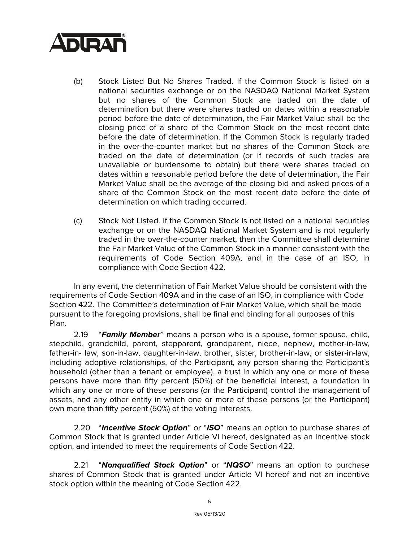

- (b) Stock Listed But No Shares Traded. If the Common Stock is listed on a national securities exchange or on the NASDAQ National Market System but no shares of the Common Stock are traded on the date of determination but there were shares traded on dates within a reasonable period before the date of determination, the Fair Market Value shall be the closing price of a share of the Common Stock on the most recent date before the date of determination. If the Common Stock is regularly traded in the over-the-counter market but no shares of the Common Stock are traded on the date of determination (or if records of such trades are unavailable or burdensome to obtain) but there were shares traded on dates within a reasonable period before the date of determination, the Fair Market Value shall be the average of the closing bid and asked prices of a share of the Common Stock on the most recent date before the date of determination on which trading occurred.
- (c) Stock Not Listed. If the Common Stock is not listed on a national securities exchange or on the NASDAQ National Market System and is not regularly traded in the over-the-counter market, then the Committee shall determine the Fair Market Value of the Common Stock in a manner consistent with the requirements of Code Section 409A, and in the case of an ISO, in compliance with Code Section 422.

In any event, the determination of Fair Market Value should be consistent with the requirements of Code Section 409A and in the case of an ISO, in compliance with Code Section 422. The Committee's determination of Fair Market Value, which shall be made pursuant to the foregoing provisions, shall be final and binding for all purposes of this Plan.

2.19 "*Family Member*" means a person who is a spouse, former spouse, child, stepchild, grandchild, parent, stepparent, grandparent, niece, nephew, mother-in-law, father-in- law, son-in-law, daughter-in-law, brother, sister, brother-in-law, or sister-in-law, including adoptive relationships, of the Participant, any person sharing the Participant's household (other than a tenant or employee), a trust in which any one or more of these persons have more than fifty percent (50%) of the beneficial interest, a foundation in which any one or more of these persons (or the Participant) control the management of assets, and any other entity in which one or more of these persons (or the Participant) own more than fifty percent (50%) of the voting interests.

2.20 "*Incentive Stock Option*" or "*ISO*" means an option to purchase shares of Common Stock that is granted under Article VI hereof, designated as an incentive stock option, and intended to meet the requirements of Code Section 422.

2.21 "*Nonqualified Stock Option*" or "*NQSO*" means an option to purchase shares of Common Stock that is granted under Article VI hereof and not an incentive stock option within the meaning of Code Section 422.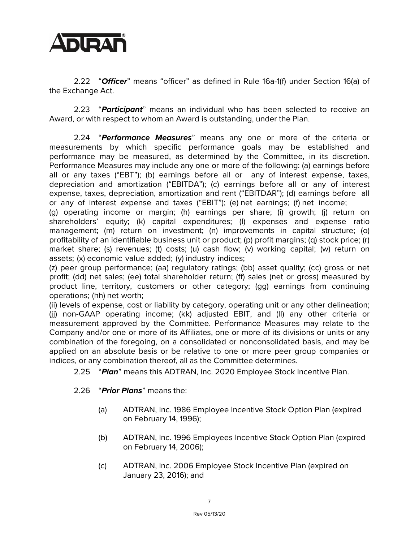

2.22 "*Officer*" means "officer" as defined in Rule 16a-1(f) under Section 16(a) of the Exchange Act.

2.23 "*Participant*" means an individual who has been selected to receive an Award, or with respect to whom an Award is outstanding, under the Plan.

2.24 "*Performance Measures*" means any one or more of the criteria or measurements by which specific performance goals may be established and performance may be measured, as determined by the Committee, in its discretion. Performance Measures may include any one or more of the following: (a) earnings before all or any taxes ("EBT"); (b) earnings before all or any of interest expense, taxes, depreciation and amortization ("EBITDA"); (c) earnings before all or any of interest expense, taxes, depreciation, amortization and rent ("EBITDAR"); (d) earnings before all or any of interest expense and taxes ("EBIT"); (e) net earnings; (f) net income;

(g) operating income or margin; (h) earnings per share; (i) growth; (j) return on shareholders' equity; (k) capital expenditures; (l) expenses and expense ratio management; (m) return on investment; (n) improvements in capital structure; (o) profitability of an identifiable business unit or product; (p) profit margins; (q) stock price; (r) market share; (s) revenues; (t) costs; (u) cash flow; (v) working capital; (w) return on assets; (x) economic value added; (y) industry indices;

(z) peer group performance; (aa) regulatory ratings; (bb) asset quality; (cc) gross or net profit; (dd) net sales; (ee) total shareholder return; (ff) sales (net or gross) measured by product line, territory, customers or other category; (gg) earnings from continuing operations; (hh) net worth;

(ii) levels of expense, cost or liability by category, operating unit or any other delineation; (jj) non-GAAP operating income; (kk) adjusted EBIT, and (ll) any other criteria or measurement approved by the Committee. Performance Measures may relate to the Company and/or one or more of its Affiliates, one or more of its divisions or units or any combination of the foregoing, on a consolidated or nonconsolidated basis, and may be applied on an absolute basis or be relative to one or more peer group companies or indices, or any combination thereof, all as the Committee determines.

2.25 "*Plan*" means this ADTRAN, Inc. 2020 Employee Stock Incentive Plan.

- 2.26 "*Prior Plans*" means the:
	- (a) ADTRAN, Inc. 1986 Employee Incentive Stock Option Plan (expired on February 14, 1996);
	- (b) ADTRAN, Inc. 1996 Employees Incentive Stock Option Plan (expired on February 14, 2006);
	- (c) ADTRAN, Inc. 2006 Employee Stock Incentive Plan (expired on January 23, 2016); and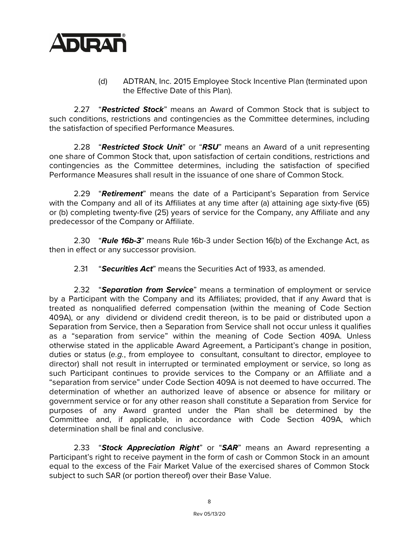

(d) ADTRAN, Inc. 2015 Employee Stock Incentive Plan (terminated upon the Effective Date of this Plan).

2.27 "*Restricted Stock*" means an Award of Common Stock that is subject to such conditions, restrictions and contingencies as the Committee determines, including the satisfaction of specified Performance Measures.

2.28 "*Restricted Stock Unit*" or "*RSU*" means an Award of a unit representing one share of Common Stock that, upon satisfaction of certain conditions, restrictions and contingencies as the Committee determines, including the satisfaction of specified Performance Measures shall result in the issuance of one share of Common Stock.

2.29 "*Retirement*" means the date of a Participant's Separation from Service with the Company and all of its Affiliates at any time after (a) attaining age sixty-five (65) or (b) completing twenty-five (25) years of service for the Company, any Affiliate and any predecessor of the Company or Affiliate.

2.30 "*Rule 16b-3*" means Rule 16b-3 under Section 16(b) of the Exchange Act, as then in effect or any successor provision.

2.31 "*Securities Act*" means the Securities Act of 1933, as amended.

2.32 "*Separation from Service*" means a termination of employment or service by a Participant with the Company and its Affiliates; provided, that if any Award that is treated as nonqualified deferred compensation (within the meaning of Code Section 409A), or any dividend or dividend credit thereon, is to be paid or distributed upon a Separation from Service, then a Separation from Service shall not occur unless it qualifies as a "separation from service" within the meaning of Code Section 409A. Unless otherwise stated in the applicable Award Agreement, a Participant's change in position, duties or status (*e.g.*, from employee to consultant, consultant to director, employee to director) shall not result in interrupted or terminated employment or service, so long as such Participant continues to provide services to the Company or an Affiliate and a "separation from service" under Code Section 409A is not deemed to have occurred. The determination of whether an authorized leave of absence or absence for military or government service or for any other reason shall constitute a Separation from Service for purposes of any Award granted under the Plan shall be determined by the Committee and, if applicable, in accordance with Code Section 409A, which determination shall be final and conclusive.

2.33 "*Stock Appreciation Right*" or "*SAR*" means an Award representing a Participant's right to receive payment in the form of cash or Common Stock in an amount equal to the excess of the Fair Market Value of the exercised shares of Common Stock subject to such SAR (or portion thereof) over their Base Value.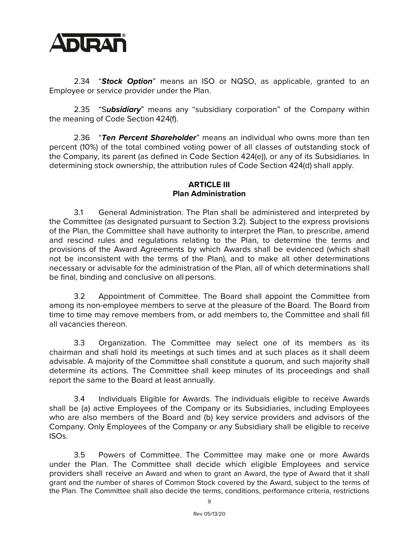

2.34 "*Stock Option*" means an ISO or NQSO, as applicable, granted to an Employee or service provider under the Plan.

2.35 "S*ubsidiary*" means any "subsidiary corporation" of the Company within the meaning of Code Section 424(f).

2.36 "*Ten Percent Shareholder*" means an individual who owns more than ten percent (10%) of the total combined voting power of all classes of outstanding stock of the Company, its parent (as defined in Code Section 424(e)), or any of its Subsidiaries. In determining stock ownership, the attribution rules of Code Section 424(d) shall apply.

### **ARTICLE III Plan Administration**

3.1 General Administration. The Plan shall be administered and interpreted by the Committee (as designated pursuant to Section 3.2). Subject to the express provisions of the Plan, the Committee shall have authority to interpret the Plan, to prescribe, amend and rescind rules and regulations relating to the Plan, to determine the terms and provisions of the Award Agreements by which Awards shall be evidenced (which shall not be inconsistent with the terms of the Plan), and to make all other determinations necessary or advisable for the administration of the Plan, all of which determinations shall be final, binding and conclusive on all persons.

3.2 Appointment of Committee. The Board shall appoint the Committee from among its non-employee members to serve at the pleasure of the Board. The Board from time to time may remove members from, or add members to, the Committee and shall fill all vacancies thereon.

3.3 Organization. The Committee may select one of its members as its chairman and shall hold its meetings at such times and at such places as it shall deem advisable. A majority of the Committee shall constitute a quorum, and such majority shall determine its actions. The Committee shall keep minutes of its proceedings and shall report the same to the Board at least annually.

3.4 Individuals Eligible for Awards. The individuals eligible to receive Awards shall be (a) active Employees of the Company or its Subsidiaries, including Employees who are also members of the Board and (b) key service providers and advisors of the Company. Only Employees of the Company or any Subsidiary shall be eligible to receive ISOs.

3.5 Powers of Committee. The Committee may make one or more Awards under the Plan. The Committee shall decide which eligible Employees and service providers shall receive an Award and when to grant an Award, the type of Award that it shall grant and the number of shares of Common Stock covered by the Award, subject to the terms of the Plan. The Committee shall also decide the terms, conditions, performance criteria, restrictions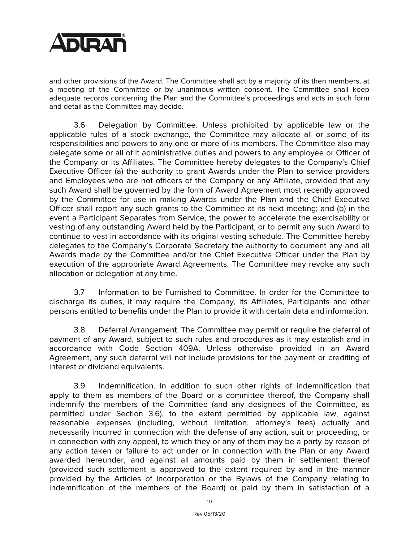

and other provisions of the Award. The Committee shall act by a majority of its then members, at a meeting of the Committee or by unanimous written consent. The Committee shall keep adequate records concerning the Plan and the Committee's proceedings and acts in such form and detail as the Committee may decide.

3.6 Delegation by Committee. Unless prohibited by applicable law or the applicable rules of a stock exchange, the Committee may allocate all or some of its responsibilities and powers to any one or more of its members. The Committee also may delegate some or all of it administrative duties and powers to any employee or Officer of the Company or its Affiliates. The Committee hereby delegates to the Company's Chief Executive Officer (a) the authority to grant Awards under the Plan to service providers and Employees who are not officers of the Company or any Affiliate, provided that any such Award shall be governed by the form of Award Agreement most recently approved by the Committee for use in making Awards under the Plan and the Chief Executive Officer shall report any such grants to the Committee at its next meeting; and (b) in the event a Participant Separates from Service, the power to accelerate the exercisability or vesting of any outstanding Award held by the Participant, or to permit any such Award to continue to vest in accordance with its original vesting schedule. The Committee hereby delegates to the Company's Corporate Secretary the authority to document any and all Awards made by the Committee and/or the Chief Executive Officer under the Plan by execution of the appropriate Award Agreements. The Committee may revoke any such allocation or delegation at any time.

3.7 Information to be Furnished to Committee. In order for the Committee to discharge its duties, it may require the Company, its Affiliates, Participants and other persons entitled to benefits under the Plan to provide it with certain data and information.

3.8 Deferral Arrangement. The Committee may permit or require the deferral of payment of any Award, subject to such rules and procedures as it may establish and in accordance with Code Section 409A. Unless otherwise provided in an Award Agreement, any such deferral will not include provisions for the payment or crediting of interest or dividend equivalents.

3.9 Indemnification. In addition to such other rights of indemnification that apply to them as members of the Board or a committee thereof, the Company shall indemnify the members of the Committee (and any designees of the Committee, as permitted under Section 3.6), to the extent permitted by applicable law, against reasonable expenses (including, without limitation, attorney's fees) actually and necessarily incurred in connection with the defense of any action, suit or proceeding, or in connection with any appeal, to which they or any of them may be a party by reason of any action taken or failure to act under or in connection with the Plan or any Award awarded hereunder, and against all amounts paid by them in settlement thereof (provided such settlement is approved to the extent required by and in the manner provided by the Articles of Incorporation or the Bylaws of the Company relating to indemnification of the members of the Board) or paid by them in satisfaction of a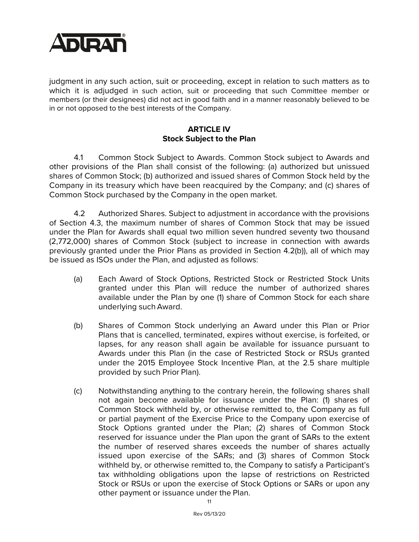

judgment in any such action, suit or proceeding, except in relation to such matters as to which it is adjudged in such action, suit or proceeding that such Committee member or members (or their designees) did not act in good faith and in a manner reasonably believed to be in or not opposed to the best interests of the Company.

### **ARTICLE IV Stock Subject to the Plan**

4.1 Common Stock Subject to Awards. Common Stock subject to Awards and other provisions of the Plan shall consist of the following: (a) authorized but unissued shares of Common Stock; (b) authorized and issued shares of Common Stock held by the Company in its treasury which have been reacquired by the Company; and (c) shares of Common Stock purchased by the Company in the open market.

4.2 Authorized Shares. Subject to adjustment in accordance with the provisions of Section 4.3, the maximum number of shares of Common Stock that may be issued under the Plan for Awards shall equal two million seven hundred seventy two thousand (2,772,000) shares of Common Stock (subject to increase in connection with awards previously granted under the Prior Plans as provided in Section 4.2(b)), all of which may be issued as ISOs under the Plan, and adjusted as follows:

- (a) Each Award of Stock Options, Restricted Stock or Restricted Stock Units granted under this Plan will reduce the number of authorized shares available under the Plan by one (1) share of Common Stock for each share underlying such Award.
- (b) Shares of Common Stock underlying an Award under this Plan or Prior Plans that is cancelled, terminated, expires without exercise, is forfeited, or lapses, for any reason shall again be available for issuance pursuant to Awards under this Plan (in the case of Restricted Stock or RSUs granted under the 2015 Employee Stock Incentive Plan, at the 2.5 share multiple provided by such Prior Plan).
- (c) Notwithstanding anything to the contrary herein, the following shares shall not again become available for issuance under the Plan: (1) shares of Common Stock withheld by, or otherwise remitted to, the Company as full or partial payment of the Exercise Price to the Company upon exercise of Stock Options granted under the Plan; (2) shares of Common Stock reserved for issuance under the Plan upon the grant of SARs to the extent the number of reserved shares exceeds the number of shares actually issued upon exercise of the SARs; and (3) shares of Common Stock withheld by, or otherwise remitted to, the Company to satisfy a Participant's tax withholding obligations upon the lapse of restrictions on Restricted Stock or RSUs or upon the exercise of Stock Options or SARs or upon any other payment or issuance under the Plan.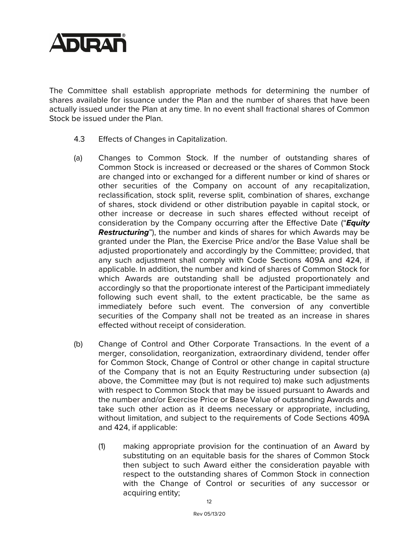

The Committee shall establish appropriate methods for determining the number of shares available for issuance under the Plan and the number of shares that have been actually issued under the Plan at any time. In no event shall fractional shares of Common Stock be issued under the Plan.

- 4.3 Effects of Changes in Capitalization.
- (a) Changes to Common Stock. If the number of outstanding shares of Common Stock is increased or decreased or the shares of Common Stock are changed into or exchanged for a different number or kind of shares or other securities of the Company on account of any recapitalization, reclassification, stock split, reverse split, combination of shares, exchange of shares, stock dividend or other distribution payable in capital stock, or other increase or decrease in such shares effected without receipt of consideration by the Company occurring after the Effective Date ("*Equity Restructuring*"), the number and kinds of shares for which Awards may be granted under the Plan, the Exercise Price and/or the Base Value shall be adjusted proportionately and accordingly by the Committee; provided, that any such adjustment shall comply with Code Sections 409A and 424, if applicable. In addition, the number and kind of shares of Common Stock for which Awards are outstanding shall be adjusted proportionately and accordingly so that the proportionate interest of the Participant immediately following such event shall, to the extent practicable, be the same as immediately before such event. The conversion of any convertible securities of the Company shall not be treated as an increase in shares effected without receipt of consideration.
- (b) Change of Control and Other Corporate Transactions. In the event of a merger, consolidation, reorganization, extraordinary dividend, tender offer for Common Stock, Change of Control or other change in capital structure of the Company that is not an Equity Restructuring under subsection (a) above, the Committee may (but is not required to) make such adjustments with respect to Common Stock that may be issued pursuant to Awards and the number and/or Exercise Price or Base Value of outstanding Awards and take such other action as it deems necessary or appropriate, including, without limitation, and subject to the requirements of Code Sections 409A and 424, if applicable:
	- (1) making appropriate provision for the continuation of an Award by substituting on an equitable basis for the shares of Common Stock then subject to such Award either the consideration payable with respect to the outstanding shares of Common Stock in connection with the Change of Control or securities of any successor or acquiring entity;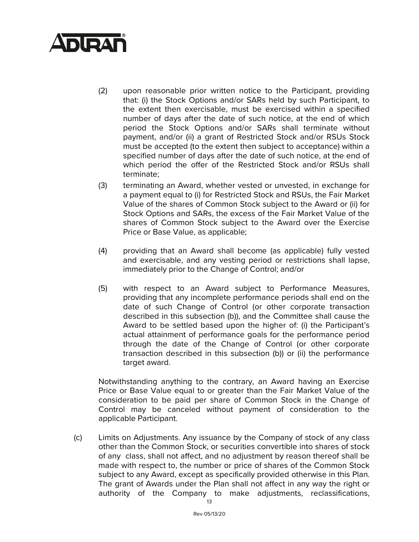

- (2) upon reasonable prior written notice to the Participant, providing that: (i) the Stock Options and/or SARs held by such Participant, to the extent then exercisable, must be exercised within a specified number of days after the date of such notice, at the end of which period the Stock Options and/or SARs shall terminate without payment, and/or (ii) a grant of Restricted Stock and/or RSUs Stock must be accepted (to the extent then subject to acceptance) within a specified number of days after the date of such notice, at the end of which period the offer of the Restricted Stock and/or RSUs shall terminate;
- (3) terminating an Award, whether vested or unvested, in exchange for a payment equal to (i) for Restricted Stock and RSUs, the Fair Market Value of the shares of Common Stock subject to the Award or (ii) for Stock Options and SARs, the excess of the Fair Market Value of the shares of Common Stock subject to the Award over the Exercise Price or Base Value, as applicable;
- (4) providing that an Award shall become (as applicable) fully vested and exercisable, and any vesting period or restrictions shall lapse, immediately prior to the Change of Control; and/or
- (5) with respect to an Award subject to Performance Measures, providing that any incomplete performance periods shall end on the date of such Change of Control (or other corporate transaction described in this subsection (b)), and the Committee shall cause the Award to be settled based upon the higher of: (i) the Participant's actual attainment of performance goals for the performance period through the date of the Change of Control (or other corporate transaction described in this subsection (b)) or (ii) the performance target award.

Notwithstanding anything to the contrary, an Award having an Exercise Price or Base Value equal to or greater than the Fair Market Value of the consideration to be paid per share of Common Stock in the Change of Control may be canceled without payment of consideration to the applicable Participant.

(c) Limits on Adjustments. Any issuance by the Company of stock of any class other than the Common Stock, or securities convertible into shares of stock of any class, shall not affect, and no adjustment by reason thereof shall be made with respect to, the number or price of shares of the Common Stock subject to any Award, except as specifically provided otherwise in this Plan. The grant of Awards under the Plan shall not affect in any way the right or authority of the Company to make adjustments, reclassifications,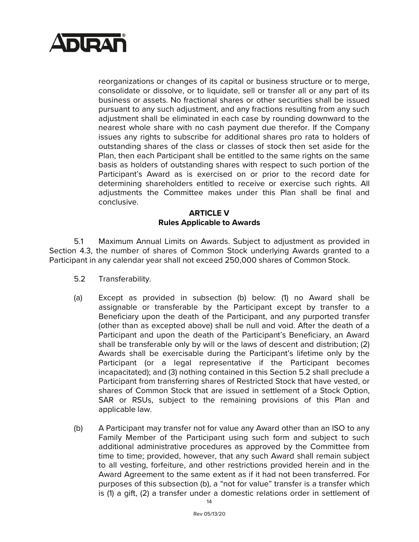

reorganizations or changes of its capital or business structure or to merge, consolidate or dissolve, or to liquidate, sell or transfer all or any part of its business or assets. No fractional shares or other securities shall be issued pursuant to any such adjustment, and any fractions resulting from any such adjustment shall be eliminated in each case by rounding downward to the nearest whole share with no cash payment due therefor. If the Company issues any rights to subscribe for additional shares pro rata to holders of outstanding shares of the class or classes of stock then set aside for the Plan, then each Participant shall be entitled to the same rights on the same basis as holders of outstanding shares with respect to such portion of the Participant's Award as is exercised on or prior to the record date for determining shareholders entitled to receive or exercise such rights. All adjustments the Committee makes under this Plan shall be final and conclusive.

#### **ARTICLE V Rules Applicable to Awards**

5.1 Maximum Annual Limits on Awards. Subject to adjustment as provided in Section 4.3, the number of shares of Common Stock underlying Awards granted to a Participant in any calendar year shall not exceed 250,000 shares of Common Stock.

- 5.2 Transferability.
- (a) Except as provided in subsection (b) below: (1) no Award shall be assignable or transferable by the Participant except by transfer to a Beneficiary upon the death of the Participant, and any purported transfer (other than as excepted above) shall be null and void. After the death of a Participant and upon the death of the Participant's Beneficiary, an Award shall be transferable only by will or the laws of descent and distribution; (2) Awards shall be exercisable during the Participant's lifetime only by the Participant (or a legal representative if the Participant becomes incapacitated); and (3) nothing contained in this Section 5.2 shall preclude a Participant from transferring shares of Restricted Stock that have vested, or shares of Common Stock that are issued in settlement of a Stock Option, SAR or RSUs, subject to the remaining provisions of this Plan and applicable law.
- (b) A Participant may transfer not for value any Award other than an ISO to any Family Member of the Participant using such form and subject to such additional administrative procedures as approved by the Committee from time to time; provided, however, that any such Award shall remain subject to all vesting, forfeiture, and other restrictions provided herein and in the Award Agreement to the same extent as if it had not been transferred. For purposes of this subsection (b), a "not for value" transfer is a transfer which is (1) a gift, (2) a transfer under a domestic relations order in settlement of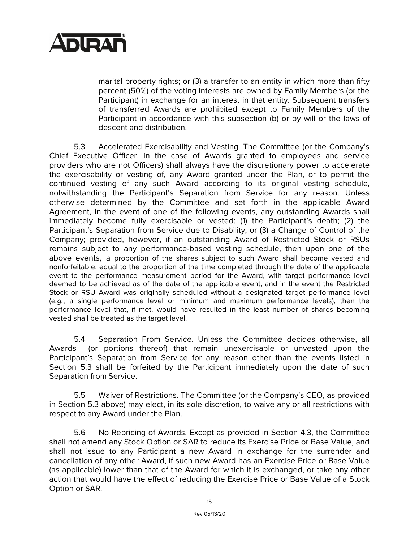

marital property rights; or (3) a transfer to an entity in which more than fifty percent (50%) of the voting interests are owned by Family Members (or the Participant) in exchange for an interest in that entity. Subsequent transfers of transferred Awards are prohibited except to Family Members of the Participant in accordance with this subsection (b) or by will or the laws of descent and distribution.

5.3 Accelerated Exercisability and Vesting. The Committee (or the Company's Chief Executive Officer, in the case of Awards granted to employees and service providers who are not Officers) shall always have the discretionary power to accelerate the exercisability or vesting of, any Award granted under the Plan, or to permit the continued vesting of any such Award according to its original vesting schedule, notwithstanding the Participant's Separation from Service for any reason. Unless otherwise determined by the Committee and set forth in the applicable Award Agreement, in the event of one of the following events, any outstanding Awards shall immediately become fully exercisable or vested: (1) the Participant's death; (2) the Participant's Separation from Service due to Disability; or (3) a Change of Control of the Company; provided, however, if an outstanding Award of Restricted Stock or RSUs remains subject to any performance-based vesting schedule, then upon one of the above events, a proportion of the shares subject to such Award shall become vested and nonforfeitable, equal to the proportion of the time completed through the date of the applicable event to the performance measurement period for the Award, with target performance level deemed to be achieved as of the date of the applicable event, and in the event the Restricted Stock or RSU Award was originally scheduled without a designated target performance level (*e.g.*, a single performance level or minimum and maximum performance levels), then the performance level that, if met, would have resulted in the least number of shares becoming vested shall be treated as the target level.

5.4 Separation From Service. Unless the Committee decides otherwise, all Awards (or portions thereof) that remain unexercisable or unvested upon the Participant's Separation from Service for any reason other than the events listed in Section 5.3 shall be forfeited by the Participant immediately upon the date of such Separation from Service.

5.5 Waiver of Restrictions. The Committee (or the Company's CEO, as provided in Section 5.3 above) may elect, in its sole discretion, to waive any or all restrictions with respect to any Award under the Plan.

5.6 No Repricing of Awards. Except as provided in Section 4.3, the Committee shall not amend any Stock Option or SAR to reduce its Exercise Price or Base Value, and shall not issue to any Participant a new Award in exchange for the surrender and cancellation of any other Award, if such new Award has an Exercise Price or Base Value (as applicable) lower than that of the Award for which it is exchanged, or take any other action that would have the effect of reducing the Exercise Price or Base Value of a Stock Option or SAR.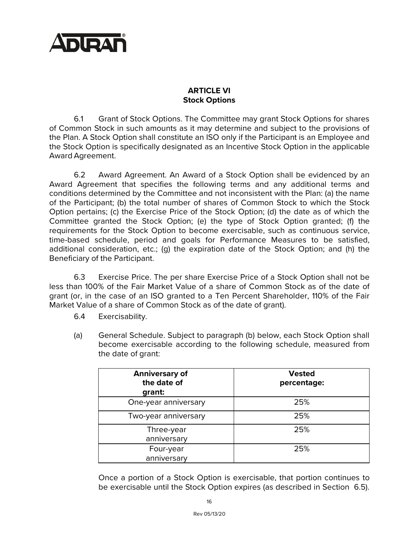

## **ARTICLE VI Stock Options**

6.1 Grant of Stock Options. The Committee may grant Stock Options for shares of Common Stock in such amounts as it may determine and subject to the provisions of the Plan. A Stock Option shall constitute an ISO only if the Participant is an Employee and the Stock Option is specifically designated as an Incentive Stock Option in the applicable Award Agreement.

6.2 Award Agreement. An Award of a Stock Option shall be evidenced by an Award Agreement that specifies the following terms and any additional terms and conditions determined by the Committee and not inconsistent with the Plan: (a) the name of the Participant; (b) the total number of shares of Common Stock to which the Stock Option pertains; (c) the Exercise Price of the Stock Option; (d) the date as of which the Committee granted the Stock Option; (e) the type of Stock Option granted; (f) the requirements for the Stock Option to become exercisable, such as continuous service, time-based schedule, period and goals for Performance Measures to be satisfied, additional consideration, etc.; (g) the expiration date of the Stock Option; and (h) the Beneficiary of the Participant.

6.3 Exercise Price. The per share Exercise Price of a Stock Option shall not be less than 100% of the Fair Market Value of a share of Common Stock as of the date of grant (or, in the case of an ISO granted to a Ten Percent Shareholder, 110% of the Fair Market Value of a share of Common Stock as of the date of grant).

- 6.4 Exercisability.
- (a) General Schedule. Subject to paragraph (b) below, each Stock Option shall become exercisable according to the following schedule, measured from the date of grant:

| <b>Anniversary of</b><br>the date of<br>grant: | <b>Vested</b><br>percentage: |
|------------------------------------------------|------------------------------|
| One-year anniversary                           | 25%                          |
| Two-year anniversary                           | 25%                          |
| Three-year<br>anniversary                      | 25%                          |
| Four-year                                      | 25%                          |
| anniversary                                    |                              |

Once a portion of a Stock Option is exercisable, that portion continues to be exercisable until the Stock Option expires (as described in Section 6.5).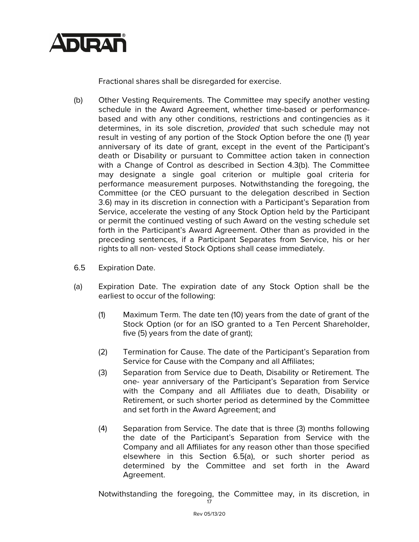

Fractional shares shall be disregarded for exercise.

- (b) Other Vesting Requirements. The Committee may specify another vesting schedule in the Award Agreement, whether time-based or performancebased and with any other conditions, restrictions and contingencies as it determines, in its sole discretion, *provided* that such schedule may not result in vesting of any portion of the Stock Option before the one (1) year anniversary of its date of grant, except in the event of the Participant's death or Disability or pursuant to Committee action taken in connection with a Change of Control as described in Section 4.3(b). The Committee may designate a single goal criterion or multiple goal criteria for performance measurement purposes. Notwithstanding the foregoing, the Committee (or the CEO pursuant to the delegation described in Section 3.6) may in its discretion in connection with a Participant's Separation from Service, accelerate the vesting of any Stock Option held by the Participant or permit the continued vesting of such Award on the vesting schedule set forth in the Participant's Award Agreement. Other than as provided in the preceding sentences, if a Participant Separates from Service, his or her rights to all non- vested Stock Options shall cease immediately.
- 6.5 Expiration Date.
- (a) Expiration Date. The expiration date of any Stock Option shall be the earliest to occur of the following:
	- (1) Maximum Term. The date ten (10) years from the date of grant of the Stock Option (or for an ISO granted to a Ten Percent Shareholder, five (5) years from the date of grant);
	- (2) Termination for Cause. The date of the Participant's Separation from Service for Cause with the Company and all Affiliates;
	- (3) Separation from Service due to Death, Disability or Retirement. The one- year anniversary of the Participant's Separation from Service with the Company and all Affiliates due to death, Disability or Retirement, or such shorter period as determined by the Committee and set forth in the Award Agreement; and
	- (4) Separation from Service. The date that is three (3) months following the date of the Participant's Separation from Service with the Company and all Affiliates for any reason other than those specified elsewhere in this Section 6.5(a), or such shorter period as determined by the Committee and set forth in the Award Agreement.

17 Notwithstanding the foregoing, the Committee may, in its discretion, in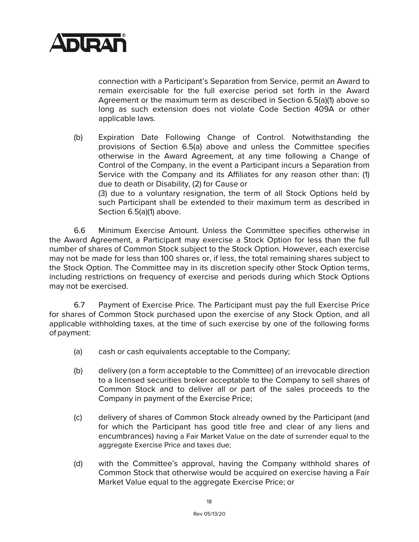

connection with a Participant's Separation from Service, permit an Award to remain exercisable for the full exercise period set forth in the Award Agreement or the maximum term as described in Section 6.5(a)(1) above so long as such extension does not violate Code Section 409A or other applicable laws.

(b) Expiration Date Following Change of Control. Notwithstanding the provisions of Section 6.5(a) above and unless the Committee specifies otherwise in the Award Agreement, at any time following a Change of Control of the Company, in the event a Participant incurs a Separation from Service with the Company and its Affiliates for any reason other than: (1) due to death or Disability, (2) for Cause or

(3) due to a voluntary resignation, the term of all Stock Options held by such Participant shall be extended to their maximum term as described in Section 6.5(a)(1) above.

6.6 Minimum Exercise Amount. Unless the Committee specifies otherwise in the Award Agreement, a Participant may exercise a Stock Option for less than the full number of shares of Common Stock subject to the Stock Option. However, each exercise may not be made for less than 100 shares or, if less, the total remaining shares subject to the Stock Option. The Committee may in its discretion specify other Stock Option terms, including restrictions on frequency of exercise and periods during which Stock Options may not be exercised.

6.7 Payment of Exercise Price. The Participant must pay the full Exercise Price for shares of Common Stock purchased upon the exercise of any Stock Option, and all applicable withholding taxes, at the time of such exercise by one of the following forms of payment:

- (a) cash or cash equivalents acceptable to the Company;
- (b) delivery (on a form acceptable to the Committee) of an irrevocable direction to a licensed securities broker acceptable to the Company to sell shares of Common Stock and to deliver all or part of the sales proceeds to the Company in payment of the Exercise Price;
- (c) delivery of shares of Common Stock already owned by the Participant (and for which the Participant has good title free and clear of any liens and encumbrances) having a Fair Market Value on the date of surrender equal to the aggregate Exercise Price and taxes due;
- (d) with the Committee's approval, having the Company withhold shares of Common Stock that otherwise would be acquired on exercise having a Fair Market Value equal to the aggregate Exercise Price; or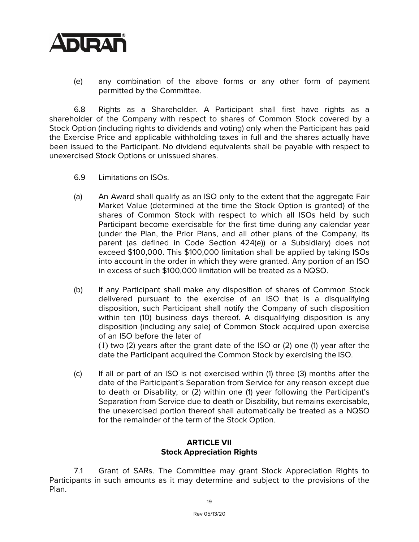

(e) any combination of the above forms or any other form of payment permitted by the Committee.

6.8 Rights as a Shareholder. A Participant shall first have rights as a shareholder of the Company with respect to shares of Common Stock covered by a Stock Option (including rights to dividends and voting) only when the Participant has paid the Exercise Price and applicable withholding taxes in full and the shares actually have been issued to the Participant. No dividend equivalents shall be payable with respect to unexercised Stock Options or unissued shares.

- 6.9 Limitations on ISOs.
- (a) An Award shall qualify as an ISO only to the extent that the aggregate Fair Market Value (determined at the time the Stock Option is granted) of the shares of Common Stock with respect to which all ISOs held by such Participant become exercisable for the first time during any calendar year (under the Plan, the Prior Plans, and all other plans of the Company, its parent (as defined in Code Section 424(e)) or a Subsidiary) does not exceed \$100,000. This \$100,000 limitation shall be applied by taking ISOs into account in the order in which they were granted. Any portion of an ISO in excess of such \$100,000 limitation will be treated as a NQSO.
- (b) If any Participant shall make any disposition of shares of Common Stock delivered pursuant to the exercise of an ISO that is a disqualifying disposition, such Participant shall notify the Company of such disposition within ten (10) business days thereof. A disqualifying disposition is any disposition (including any sale) of Common Stock acquired upon exercise of an ISO before the later of (1) two (2) years after the grant date of the ISO or (2) one (1) year after the

date the Participant acquired the Common Stock by exercising the ISO.

(c) If all or part of an ISO is not exercised within (1) three (3) months after the date of the Participant's Separation from Service for any reason except due to death or Disability, or (2) within one (1) year following the Participant's Separation from Service due to death or Disability, but remains exercisable, the unexercised portion thereof shall automatically be treated as a NQSO for the remainder of the term of the Stock Option.

### **ARTICLE VII Stock Appreciation Rights**

7.1 Grant of SARs. The Committee may grant Stock Appreciation Rights to Participants in such amounts as it may determine and subject to the provisions of the Plan.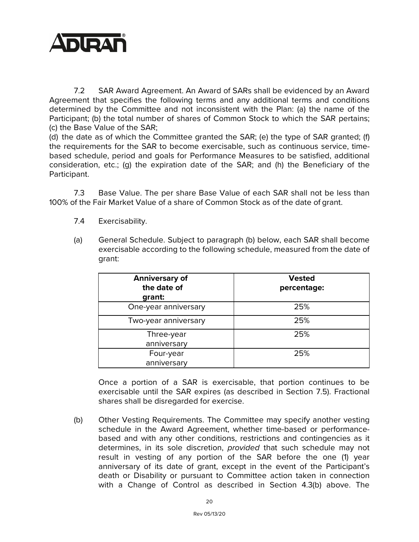

7.2 SAR Award Agreement. An Award of SARs shall be evidenced by an Award Agreement that specifies the following terms and any additional terms and conditions determined by the Committee and not inconsistent with the Plan: (a) the name of the Participant; (b) the total number of shares of Common Stock to which the SAR pertains; (c) the Base Value of the SAR;

(d) the date as of which the Committee granted the SAR; (e) the type of SAR granted; (f) the requirements for the SAR to become exercisable, such as continuous service, timebased schedule, period and goals for Performance Measures to be satisfied, additional consideration, etc.; (g) the expiration date of the SAR; and (h) the Beneficiary of the Participant.

7.3 Base Value. The per share Base Value of each SAR shall not be less than 100% of the Fair Market Value of a share of Common Stock as of the date of grant.

- 7.4 Exercisability.
- (a) General Schedule. Subject to paragraph (b) below, each SAR shall become exercisable according to the following schedule, measured from the date of grant:

| <b>Anniversary of</b><br>the date of<br>grant: | <b>Vested</b><br>percentage: |
|------------------------------------------------|------------------------------|
| One-year anniversary                           | 25%                          |
| Two-year anniversary                           | 25%                          |
| Three-year<br>anniversary                      | 25%                          |
| Four-year<br>anniversary                       | 25%                          |

Once a portion of a SAR is exercisable, that portion continues to be exercisable until the SAR expires (as described in Section 7.5). Fractional shares shall be disregarded for exercise.

(b) Other Vesting Requirements. The Committee may specify another vesting schedule in the Award Agreement, whether time-based or performancebased and with any other conditions, restrictions and contingencies as it determines, in its sole discretion, *provided* that such schedule may not result in vesting of any portion of the SAR before the one (1) year anniversary of its date of grant, except in the event of the Participant's death or Disability or pursuant to Committee action taken in connection with a Change of Control as described in Section 4.3(b) above. The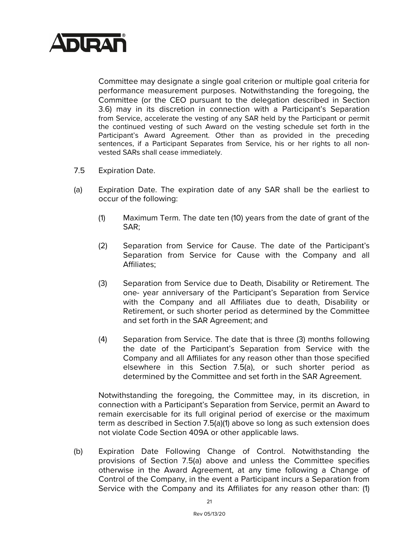

Committee may designate a single goal criterion or multiple goal criteria for performance measurement purposes. Notwithstanding the foregoing, the Committee (or the CEO pursuant to the delegation described in Section 3.6) may in its discretion in connection with a Participant's Separation from Service, accelerate the vesting of any SAR held by the Participant or permit the continued vesting of such Award on the vesting schedule set forth in the Participant's Award Agreement. Other than as provided in the preceding sentences, if a Participant Separates from Service, his or her rights to all nonvested SARs shall cease immediately.

- 7.5 Expiration Date.
- (a) Expiration Date. The expiration date of any SAR shall be the earliest to occur of the following:
	- (1) Maximum Term. The date ten (10) years from the date of grant of the SAR;
	- (2) Separation from Service for Cause. The date of the Participant's Separation from Service for Cause with the Company and all Affiliates;
	- (3) Separation from Service due to Death, Disability or Retirement. The one- year anniversary of the Participant's Separation from Service with the Company and all Affiliates due to death, Disability or Retirement, or such shorter period as determined by the Committee and set forth in the SAR Agreement; and
	- (4) Separation from Service. The date that is three (3) months following the date of the Participant's Separation from Service with the Company and all Affiliates for any reason other than those specified elsewhere in this Section 7.5(a), or such shorter period as determined by the Committee and set forth in the SAR Agreement.

Notwithstanding the foregoing, the Committee may, in its discretion, in connection with a Participant's Separation from Service, permit an Award to remain exercisable for its full original period of exercise or the maximum term as described in Section 7.5(a)(1) above so long as such extension does not violate Code Section 409A or other applicable laws.

(b) Expiration Date Following Change of Control. Notwithstanding the provisions of Section 7.5(a) above and unless the Committee specifies otherwise in the Award Agreement, at any time following a Change of Control of the Company, in the event a Participant incurs a Separation from Service with the Company and its Affiliates for any reason other than: (1)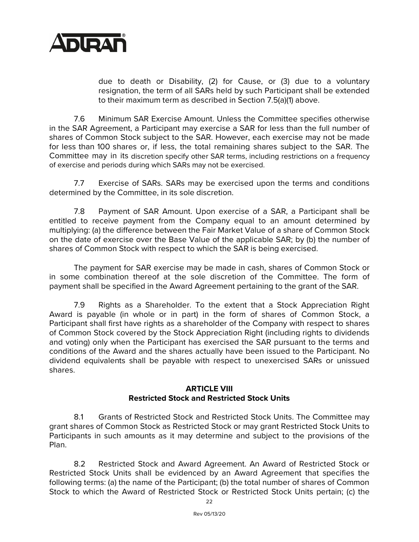

due to death or Disability, (2) for Cause, or (3) due to a voluntary resignation, the term of all SARs held by such Participant shall be extended to their maximum term as described in Section 7.5(a)(1) above.

7.6 Minimum SAR Exercise Amount. Unless the Committee specifies otherwise in the SAR Agreement, a Participant may exercise a SAR for less than the full number of shares of Common Stock subject to the SAR. However, each exercise may not be made for less than 100 shares or, if less, the total remaining shares subject to the SAR. The Committee may in its discretion specify other SAR terms, including restrictions on a frequency of exercise and periods during which SARs may not be exercised.

7.7 Exercise of SARs. SARs may be exercised upon the terms and conditions determined by the Committee, in its sole discretion.

7.8 Payment of SAR Amount. Upon exercise of a SAR, a Participant shall be entitled to receive payment from the Company equal to an amount determined by multiplying: (a) the difference between the Fair Market Value of a share of Common Stock on the date of exercise over the Base Value of the applicable SAR; by (b) the number of shares of Common Stock with respect to which the SAR is being exercised.

The payment for SAR exercise may be made in cash, shares of Common Stock or in some combination thereof at the sole discretion of the Committee. The form of payment shall be specified in the Award Agreement pertaining to the grant of the SAR.

7.9 Rights as a Shareholder. To the extent that a Stock Appreciation Right Award is payable (in whole or in part) in the form of shares of Common Stock, a Participant shall first have rights as a shareholder of the Company with respect to shares of Common Stock covered by the Stock Appreciation Right (including rights to dividends and voting) only when the Participant has exercised the SAR pursuant to the terms and conditions of the Award and the shares actually have been issued to the Participant. No dividend equivalents shall be payable with respect to unexercised SARs or unissued shares.

#### **ARTICLE VIII Restricted Stock and Restricted Stock Units**

8.1 Grants of Restricted Stock and Restricted Stock Units. The Committee may grant shares of Common Stock as Restricted Stock or may grant Restricted Stock Units to Participants in such amounts as it may determine and subject to the provisions of the Plan.

8.2 Restricted Stock and Award Agreement. An Award of Restricted Stock or Restricted Stock Units shall be evidenced by an Award Agreement that specifies the following terms: (a) the name of the Participant; (b) the total number of shares of Common Stock to which the Award of Restricted Stock or Restricted Stock Units pertain; (c) the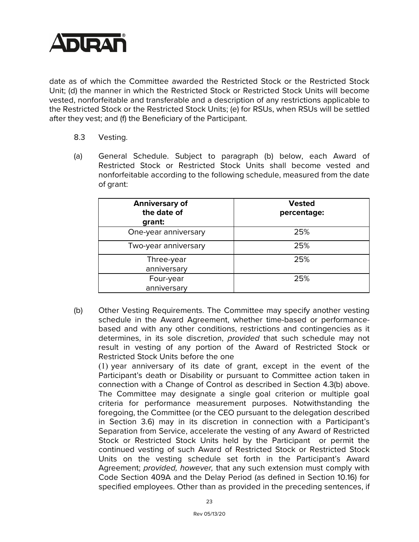

date as of which the Committee awarded the Restricted Stock or the Restricted Stock Unit; (d) the manner in which the Restricted Stock or Restricted Stock Units will become vested, nonforfeitable and transferable and a description of any restrictions applicable to the Restricted Stock or the Restricted Stock Units; (e) for RSUs, when RSUs will be settled after they vest; and (f) the Beneficiary of the Participant.

- 8.3 Vesting.
- (a) General Schedule. Subject to paragraph (b) below, each Award of Restricted Stock or Restricted Stock Units shall become vested and nonforfeitable according to the following schedule, measured from the date of grant:

| <b>Anniversary of</b><br>the date of<br>grant: | <b>Vested</b><br>percentage: |
|------------------------------------------------|------------------------------|
| One-year anniversary                           | 25%                          |
| Two-year anniversary                           | 25%                          |
| Three-year<br>anniversary                      | 25%                          |
| Four-year<br>anniversary                       | 25%                          |

(b) Other Vesting Requirements. The Committee may specify another vesting schedule in the Award Agreement, whether time-based or performancebased and with any other conditions, restrictions and contingencies as it determines, in its sole discretion, *provided* that such schedule may not result in vesting of any portion of the Award of Restricted Stock or Restricted Stock Units before the one

(1) year anniversary of its date of grant, except in the event of the Participant's death or Disability or pursuant to Committee action taken in connection with a Change of Control as described in Section 4.3(b) above. The Committee may designate a single goal criterion or multiple goal criteria for performance measurement purposes. Notwithstanding the foregoing, the Committee (or the CEO pursuant to the delegation described in Section 3.6) may in its discretion in connection with a Participant's Separation from Service, accelerate the vesting of any Award of Restricted Stock or Restricted Stock Units held by the Participant or permit the continued vesting of such Award of Restricted Stock or Restricted Stock Units on the vesting schedule set forth in the Participant's Award Agreement; *provided, however,* that any such extension must comply with Code Section 409A and the Delay Period (as defined in Section 10.16) for specified employees. Other than as provided in the preceding sentences, if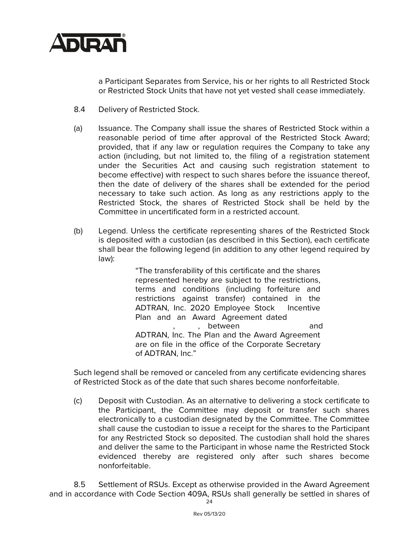

a Participant Separates from Service, his or her rights to all Restricted Stock or Restricted Stock Units that have not yet vested shall cease immediately.

- 8.4 Delivery of Restricted Stock.
- (a) Issuance. The Company shall issue the shares of Restricted Stock within a reasonable period of time after approval of the Restricted Stock Award; provided, that if any law or regulation requires the Company to take any action (including, but not limited to, the filing of a registration statement under the Securities Act and causing such registration statement to become effective) with respect to such shares before the issuance thereof, then the date of delivery of the shares shall be extended for the period necessary to take such action. As long as any restrictions apply to the Restricted Stock, the shares of Restricted Stock shall be held by the Committee in uncertificated form in a restricted account.
- (b) Legend. Unless the certificate representing shares of the Restricted Stock is deposited with a custodian (as described in this Section), each certificate shall bear the following legend (in addition to any other legend required by law):

"The transferability of this certificate and the shares represented hereby are subject to the restrictions, terms and conditions (including forfeiture and restrictions against transfer) contained in the ADTRAN, Inc. 2020 Employee Stock Incentive Plan and an Award Agreement dated , between and ADTRAN, Inc. The Plan and the Award Agreement are on file in the office of the Corporate Secretary of ADTRAN, Inc."

Such legend shall be removed or canceled from any certificate evidencing shares of Restricted Stock as of the date that such shares become nonforfeitable.

(c) Deposit with Custodian. As an alternative to delivering a stock certificate to the Participant, the Committee may deposit or transfer such shares electronically to a custodian designated by the Committee. The Committee shall cause the custodian to issue a receipt for the shares to the Participant for any Restricted Stock so deposited. The custodian shall hold the shares and deliver the same to the Participant in whose name the Restricted Stock evidenced thereby are registered only after such shares become nonforfeitable.

8.5 Settlement of RSUs. Except as otherwise provided in the Award Agreement and in accordance with Code Section 409A, RSUs shall generally be settled in shares of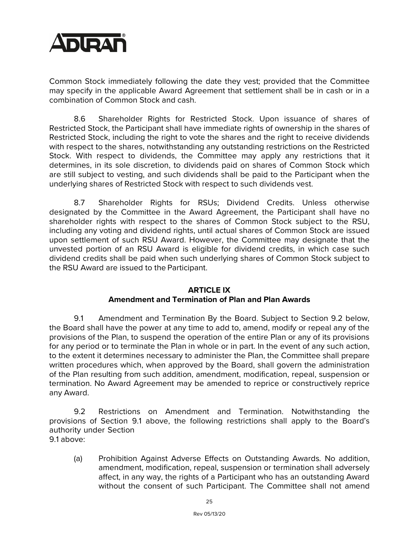

Common Stock immediately following the date they vest; provided that the Committee may specify in the applicable Award Agreement that settlement shall be in cash or in a combination of Common Stock and cash.

8.6 Shareholder Rights for Restricted Stock. Upon issuance of shares of Restricted Stock, the Participant shall have immediate rights of ownership in the shares of Restricted Stock, including the right to vote the shares and the right to receive dividends with respect to the shares, notwithstanding any outstanding restrictions on the Restricted Stock. With respect to dividends, the Committee may apply any restrictions that it determines, in its sole discretion, to dividends paid on shares of Common Stock which are still subject to vesting, and such dividends shall be paid to the Participant when the underlying shares of Restricted Stock with respect to such dividends vest.

8.7 Shareholder Rights for RSUs; Dividend Credits. Unless otherwise designated by the Committee in the Award Agreement, the Participant shall have no shareholder rights with respect to the shares of Common Stock subject to the RSU, including any voting and dividend rights, until actual shares of Common Stock are issued upon settlement of such RSU Award. However, the Committee may designate that the unvested portion of an RSU Award is eligible for dividend credits, in which case such dividend credits shall be paid when such underlying shares of Common Stock subject to the RSU Award are issued to the Participant.

#### **ARTICLE IX**

## **Amendment and Termination of Plan and Plan Awards**

9.1 Amendment and Termination By the Board. Subject to Section 9.2 below, the Board shall have the power at any time to add to, amend, modify or repeal any of the provisions of the Plan, to suspend the operation of the entire Plan or any of its provisions for any period or to terminate the Plan in whole or in part. In the event of any such action, to the extent it determines necessary to administer the Plan, the Committee shall prepare written procedures which, when approved by the Board, shall govern the administration of the Plan resulting from such addition, amendment, modification, repeal, suspension or termination. No Award Agreement may be amended to reprice or constructively reprice any Award.

9.2 Restrictions on Amendment and Termination. Notwithstanding the provisions of Section 9.1 above, the following restrictions shall apply to the Board's authority under Section

9.1 above:

(a) Prohibition Against Adverse Effects on Outstanding Awards*.* No addition, amendment, modification, repeal, suspension or termination shall adversely affect, in any way, the rights of a Participant who has an outstanding Award without the consent of such Participant. The Committee shall not amend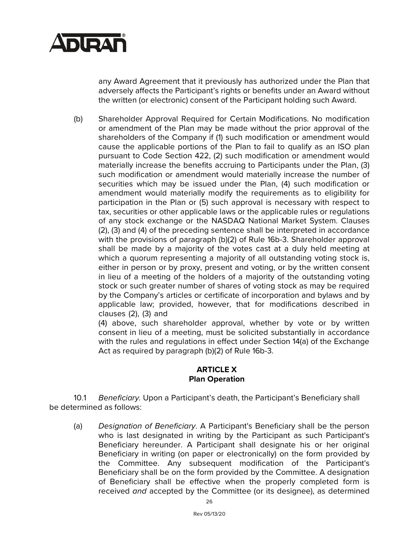

any Award Agreement that it previously has authorized under the Plan that adversely affects the Participant's rights or benefits under an Award without the written (or electronic) consent of the Participant holding such Award.

(b) Shareholder Approval Required for Certain Modifications. No modification or amendment of the Plan may be made without the prior approval of the shareholders of the Company if (1) such modification or amendment would cause the applicable portions of the Plan to fail to qualify as an ISO plan pursuant to Code Section 422, (2) such modification or amendment would materially increase the benefits accruing to Participants under the Plan, (3) such modification or amendment would materially increase the number of securities which may be issued under the Plan, (4) such modification or amendment would materially modify the requirements as to eligibility for participation in the Plan or (5) such approval is necessary with respect to tax, securities or other applicable laws or the applicable rules or regulations of any stock exchange or the NASDAQ National Market System. Clauses (2), (3) and (4) of the preceding sentence shall be interpreted in accordance with the provisions of paragraph (b)(2) of Rule 16b-3. Shareholder approval shall be made by a majority of the votes cast at a duly held meeting at which a quorum representing a majority of all outstanding voting stock is, either in person or by proxy, present and voting, or by the written consent in lieu of a meeting of the holders of a majority of the outstanding voting stock or such greater number of shares of voting stock as may be required by the Company's articles or certificate of incorporation and bylaws and by applicable law; provided, however, that for modifications described in clauses (2), (3) and

(4) above, such shareholder approval, whether by vote or by written consent in lieu of a meeting, must be solicited substantially in accordance with the rules and regulations in effect under Section 14(a) of the Exchange Act as required by paragraph (b)(2) of Rule 16b-3.

#### **ARTICLE X Plan Operation**

10.1 *Beneficiary.* Upon a Participant's death, the Participant's Beneficiary shall be determined as follows:

(a) *Designation of Beneficiary*. A Participant's Beneficiary shall be the person who is last designated in writing by the Participant as such Participant's Beneficiary hereunder. A Participant shall designate his or her original Beneficiary in writing (on paper or electronically) on the form provided by the Committee. Any subsequent modification of the Participant's Beneficiary shall be on the form provided by the Committee. A designation of Beneficiary shall be effective when the properly completed form is received *and* accepted by the Committee (or its designee), as determined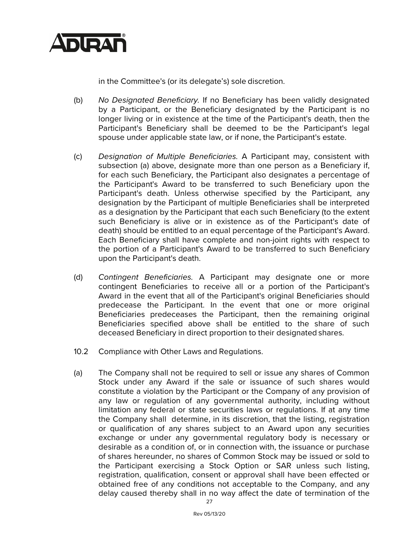

in the Committee's (or its delegate's) sole discretion.

- (b) *No Designated Beneficiary.* If no Beneficiary has been validly designated by a Participant, or the Beneficiary designated by the Participant is no longer living or in existence at the time of the Participant's death, then the Participant's Beneficiary shall be deemed to be the Participant's legal spouse under applicable state law, or if none, the Participant's estate.
- (c) *Designation of Multiple Beneficiaries.* A Participant may, consistent with subsection (a) above, designate more than one person as a Beneficiary if, for each such Beneficiary, the Participant also designates a percentage of the Participant's Award to be transferred to such Beneficiary upon the Participant's death. Unless otherwise specified by the Participant, any designation by the Participant of multiple Beneficiaries shall be interpreted as a designation by the Participant that each such Beneficiary (to the extent such Beneficiary is alive or in existence as of the Participant's date of death) should be entitled to an equal percentage of the Participant's Award. Each Beneficiary shall have complete and non-joint rights with respect to the portion of a Participant's Award to be transferred to such Beneficiary upon the Participant's death.
- (d) *Contingent Beneficiaries.* A Participant may designate one or more contingent Beneficiaries to receive all or a portion of the Participant's Award in the event that all of the Participant's original Beneficiaries should predecease the Participant. In the event that one or more original Beneficiaries predeceases the Participant, then the remaining original Beneficiaries specified above shall be entitled to the share of such deceased Beneficiary in direct proportion to their designated shares.
- 10.2 Compliance with Other Laws and Regulations.
- (a) The Company shall not be required to sell or issue any shares of Common Stock under any Award if the sale or issuance of such shares would constitute a violation by the Participant or the Company of any provision of any law or regulation of any governmental authority, including without limitation any federal or state securities laws or regulations. If at any time the Company shall determine, in its discretion, that the listing, registration or qualification of any shares subject to an Award upon any securities exchange or under any governmental regulatory body is necessary or desirable as a condition of, or in connection with, the issuance or purchase of shares hereunder, no shares of Common Stock may be issued or sold to the Participant exercising a Stock Option or SAR unless such listing, registration, qualification, consent or approval shall have been effected or obtained free of any conditions not acceptable to the Company, and any delay caused thereby shall in no way affect the date of termination of the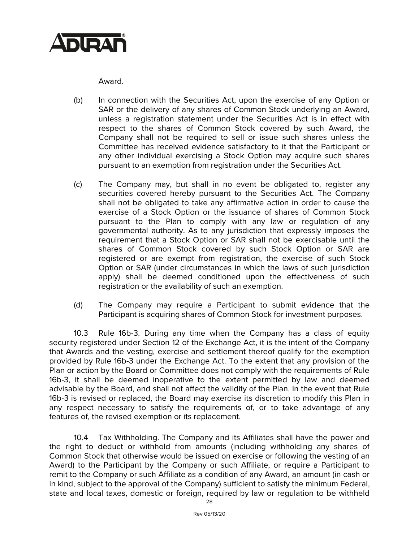

Award.

- (b) In connection with the Securities Act, upon the exercise of any Option or SAR or the delivery of any shares of Common Stock underlying an Award, unless a registration statement under the Securities Act is in effect with respect to the shares of Common Stock covered by such Award, the Company shall not be required to sell or issue such shares unless the Committee has received evidence satisfactory to it that the Participant or any other individual exercising a Stock Option may acquire such shares pursuant to an exemption from registration under the Securities Act.
- (c) The Company may, but shall in no event be obligated to, register any securities covered hereby pursuant to the Securities Act. The Company shall not be obligated to take any affirmative action in order to cause the exercise of a Stock Option or the issuance of shares of Common Stock pursuant to the Plan to comply with any law or regulation of any governmental authority. As to any jurisdiction that expressly imposes the requirement that a Stock Option or SAR shall not be exercisable until the shares of Common Stock covered by such Stock Option or SAR are registered or are exempt from registration, the exercise of such Stock Option or SAR (under circumstances in which the laws of such jurisdiction apply) shall be deemed conditioned upon the effectiveness of such registration or the availability of such an exemption.
- (d) The Company may require a Participant to submit evidence that the Participant is acquiring shares of Common Stock for investment purposes.

10.3 Rule 16b-3. During any time when the Company has a class of equity security registered under Section 12 of the Exchange Act, it is the intent of the Company that Awards and the vesting, exercise and settlement thereof qualify for the exemption provided by Rule 16b-3 under the Exchange Act. To the extent that any provision of the Plan or action by the Board or Committee does not comply with the requirements of Rule 16b-3, it shall be deemed inoperative to the extent permitted by law and deemed advisable by the Board, and shall not affect the validity of the Plan. In the event that Rule 16b-3 is revised or replaced, the Board may exercise its discretion to modify this Plan in any respect necessary to satisfy the requirements of, or to take advantage of any features of, the revised exemption or its replacement.

10.4 Tax Withholding. The Company and its Affiliates shall have the power and the right to deduct or withhold from amounts (including withholding any shares of Common Stock that otherwise would be issued on exercise or following the vesting of an Award) to the Participant by the Company or such Affiliate, or require a Participant to remit to the Company or such Affiliate as a condition of any Award, an amount (in cash or in kind, subject to the approval of the Company) sufficient to satisfy the minimum Federal, state and local taxes, domestic or foreign, required by law or regulation to be withheld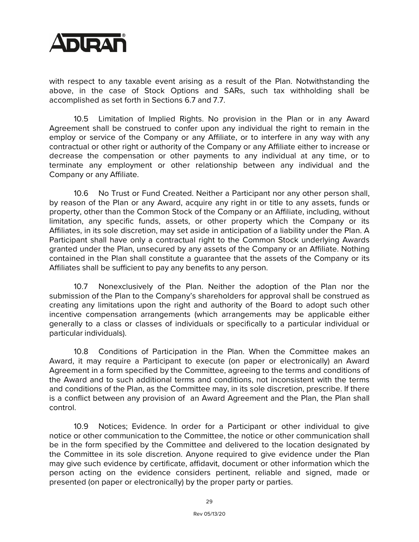

with respect to any taxable event arising as a result of the Plan. Notwithstanding the above, in the case of Stock Options and SARs, such tax withholding shall be accomplished as set forth in Sections 6.7 and 7.7.

10.5 Limitation of Implied Rights. No provision in the Plan or in any Award Agreement shall be construed to confer upon any individual the right to remain in the employ or service of the Company or any Affiliate, or to interfere in any way with any contractual or other right or authority of the Company or any Affiliate either to increase or decrease the compensation or other payments to any individual at any time, or to terminate any employment or other relationship between any individual and the Company or any Affiliate.

10.6 No Trust or Fund Created. Neither a Participant nor any other person shall, by reason of the Plan or any Award, acquire any right in or title to any assets, funds or property, other than the Common Stock of the Company or an Affiliate, including, without limitation, any specific funds, assets, or other property which the Company or its Affiliates, in its sole discretion, may set aside in anticipation of a liability under the Plan. A Participant shall have only a contractual right to the Common Stock underlying Awards granted under the Plan, unsecured by any assets of the Company or an Affiliate. Nothing contained in the Plan shall constitute a guarantee that the assets of the Company or its Affiliates shall be sufficient to pay any benefits to any person.

10.7 Nonexclusively of the Plan. Neither the adoption of the Plan nor the submission of the Plan to the Company's shareholders for approval shall be construed as creating any limitations upon the right and authority of the Board to adopt such other incentive compensation arrangements (which arrangements may be applicable either generally to a class or classes of individuals or specifically to a particular individual or particular individuals).

10.8 Conditions of Participation in the Plan. When the Committee makes an Award, it may require a Participant to execute (on paper or electronically) an Award Agreement in a form specified by the Committee, agreeing to the terms and conditions of the Award and to such additional terms and conditions, not inconsistent with the terms and conditions of the Plan, as the Committee may, in its sole discretion, prescribe. If there is a conflict between any provision of an Award Agreement and the Plan, the Plan shall control.

10.9 Notices; Evidence. In order for a Participant or other individual to give notice or other communication to the Committee, the notice or other communication shall be in the form specified by the Committee and delivered to the location designated by the Committee in its sole discretion. Anyone required to give evidence under the Plan may give such evidence by certificate, affidavit, document or other information which the person acting on the evidence considers pertinent, reliable and signed, made or presented (on paper or electronically) by the proper party or parties.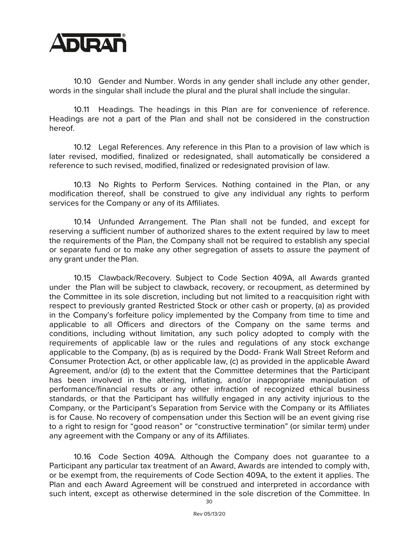

10.10 Gender and Number. Words in any gender shall include any other gender, words in the singular shall include the plural and the plural shall include the singular.

10.11 Headings. The headings in this Plan are for convenience of reference. Headings are not a part of the Plan and shall not be considered in the construction hereof.

10.12 Legal References. Any reference in this Plan to a provision of law which is later revised, modified, finalized or redesignated, shall automatically be considered a reference to such revised, modified, finalized or redesignated provision of law.

10.13 No Rights to Perform Services. Nothing contained in the Plan, or any modification thereof, shall be construed to give any individual any rights to perform services for the Company or any of its Affiliates.

10.14 Unfunded Arrangement. The Plan shall not be funded, and except for reserving a sufficient number of authorized shares to the extent required by law to meet the requirements of the Plan, the Company shall not be required to establish any special or separate fund or to make any other segregation of assets to assure the payment of any grant under the Plan.

10.15 Clawback/Recovery. Subject to Code Section 409A, all Awards granted under the Plan will be subject to clawback, recovery, or recoupment, as determined by the Committee in its sole discretion, including but not limited to a reacquisition right with respect to previously granted Restricted Stock or other cash or property, (a) as provided in the Company's forfeiture policy implemented by the Company from time to time and applicable to all Officers and directors of the Company on the same terms and conditions, including without limitation, any such policy adopted to comply with the requirements of applicable law or the rules and regulations of any stock exchange applicable to the Company, (b) as is required by the Dodd- Frank Wall Street Reform and Consumer Protection Act, or other applicable law, (c) as provided in the applicable Award Agreement, and/or (d) to the extent that the Committee determines that the Participant has been involved in the altering, inflating, and/or inappropriate manipulation of performance/financial results or any other infraction of recognized ethical business standards, or that the Participant has willfully engaged in any activity injurious to the Company, or the Participant's Separation from Service with the Company or its Affiliates is for Cause. No recovery of compensation under this Section will be an event giving rise to a right to resign for "good reason" or "constructive termination" (or similar term) under any agreement with the Company or any of its Affiliates.

10.16 Code Section 409A. Although the Company does not guarantee to a Participant any particular tax treatment of an Award, Awards are intended to comply with, or be exempt from, the requirements of Code Section 409A, to the extent it applies. The Plan and each Award Agreement will be construed and interpreted in accordance with such intent, except as otherwise determined in the sole discretion of the Committee. In